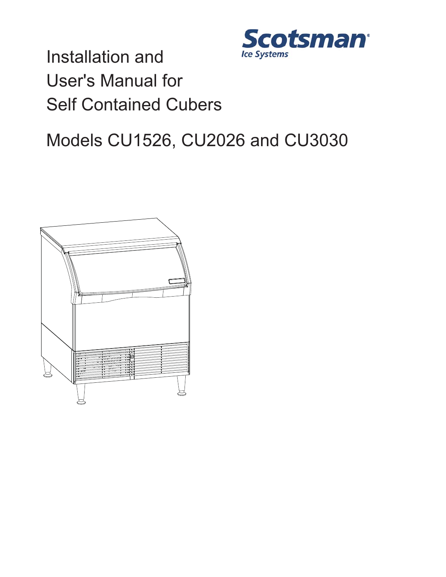

Installation and User's Manual for Self Contained Cubers

# Models CU1526, CU2026 and CU3030

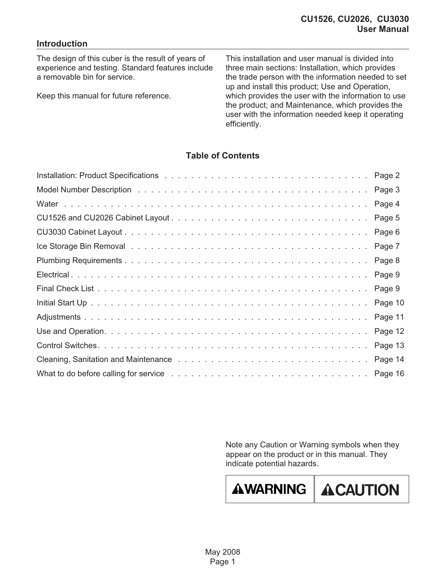### **Introduction**

The design of this cuber is the result of years of experience and testing. Standard features include a removable bin for service.

Keep this manual for future reference.

This installation and user manual is divided into three main sections: Installation, which provides the trade person with the information needed to set up and install this product; Use and Operation, which provides the user with the information to use the product; and Maintenance, which provides the user with the information needed keep it operating efficiently.

### **Table of Contents**

| Page 2  |
|---------|
| Page 3  |
| Page 4  |
| Page 5  |
| Page 6  |
| Page 7  |
| Page 8  |
| Page 9  |
| Page 9  |
| Page 10 |
|         |
| Page 12 |
| Page 13 |
| Page 14 |
|         |

Note any Caution or Warning symbols when they appear on the product or in this manual. They indicate potential hazards.

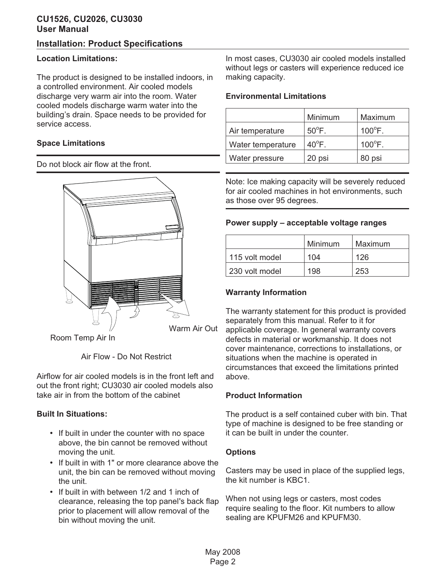### **Installation: Product Specifications**

#### **Location Limitations:**

The product is designed to be installed indoors, in a controlled environment. Air cooled models discharge very warm air into the room. Water cooled models discharge warm water into the building's drain. Space needs to be provided for service access

### **Space Limitations**

Do not block air flow at the front.



Room Temp Air In

Air Flow - Do Not Restrict

Airflow for air cooled models is in the front left and out the front right; CU3030 air cooled models also take air in from the bottom of the cabinet

### **Built In Situations:**

- If built in under the counter with no space above, the bin cannot be removed without moving the unit.
- If built in with 1" or more clearance above the unit, the bin can be removed without moving the unit.
- If built in with between 1/2 and 1 inch of clearance, releasing the top panel's back flap prior to placement will allow removal of the bin without moving the unit.

In most cases, CU3030 air cooled models installed without legs or casters will experience reduced ice making capacity.

#### **Environmental Limitations**

|                   | Minimum         | Maximum          |
|-------------------|-----------------|------------------|
| Air temperature   | $50^{\circ}$ F. | $100^{\circ}$ F. |
| Water temperature | $40^{\circ}$ F. | $100^{\circ}$ F. |
| Water pressure    | 20 psi          | 80 psi           |

Note: Ice making capacity will be severely reduced for air cooled machines in hot environments, such as those over 95 degrees.

#### **Power supply – acceptable voltage ranges**

|                | Minimum | Maximum |
|----------------|---------|---------|
| 115 volt model | 104     | 126     |
| 230 volt model | 198     | 253     |

#### **Warranty Information**

The warranty statement for this product is provided separately from this manual. Refer to it for applicable coverage. In general warranty covers defects in material or workmanship. It does not cover maintenance, corrections to installations, or situations when the machine is operated in circumstances that exceed the limitations printed above.

#### **Product Information**

The product is a self contained cuber with bin. That type of machine is designed to be free standing or it can be built in under the counter.

#### **Options**

Casters may be used in place of the supplied legs, the kit number is KBC1.

When not using legs or casters, most codes require sealing to the floor. Kit numbers to allow sealing are KPUFM26 and KPUFM30.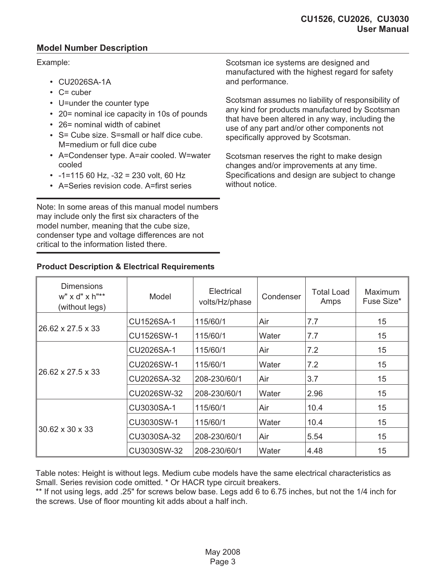### **Model Number Description**

#### Example:

- CU2026SA-1A •
- C= cuber
- U=under the counter type
- 20= nominal ice capacity in 10s of pounds •
- 26= nominal width of cabinet •
- S= Cube size. S=small or half dice cube. M=medium or full dice cube
- A=Condenser type. A=air cooled. W=water cooled
- $-1=115$  60 Hz,  $-32 = 230$  volt, 60 Hz
- A=Series revision code. A=first series

Note: In some areas of this manual model numbers may include only the first six characters of the model number, meaning that the cube size, condenser type and voltage differences are not critical to the information listed there.

Scotsman ice systems are designed and manufactured with the highest regard for safety and performance.

Scotsman assumes no liability of responsibility of any kind for products manufactured by Scotsman that have been altered in any way, including the use of any part and/or other components not specifically approved by Scotsman.

Scotsman reserves the right to make design changes and/or improvements at any time. Specifications and design are subject to change without notice.

| <b>Dimensions</b><br>$w''$ x d" x h"**<br>(without legs) | Model       | Electrical<br>volts/Hz/phase | Condenser | <b>Total Load</b><br>Amps | <b>Maximum</b><br>Fuse Size* |
|----------------------------------------------------------|-------------|------------------------------|-----------|---------------------------|------------------------------|
| $26.62 \times 27.5 \times 33$                            | CU1526SA-1  | 115/60/1                     | Air       | 7.7                       | 15                           |
|                                                          | CU1526SW-1  | 115/60/1                     | Water     | 7.7                       | 15                           |
| $26.62 \times 27.5 \times 33$                            | CU2026SA-1  | 115/60/1                     | Air       | 7.2                       | 15                           |
|                                                          | CU2026SW-1  | 115/60/1                     | Water     | 7.2                       | 15                           |
|                                                          | CU2026SA-32 | 208-230/60/1                 | Air       | 3.7                       | 15                           |
|                                                          | CU2026SW-32 | 208-230/60/1                 | Water     | 2.96                      | 15                           |
| $30.62 \times 30 \times 33$                              | CU3030SA-1  | 115/60/1                     | Air       | 10.4                      | 15                           |
|                                                          | CU3030SW-1  | 115/60/1                     | Water     | 10.4                      | 15                           |
|                                                          | CU3030SA-32 | 208-230/60/1                 | Air       | 5.54                      | 15                           |
|                                                          | CU3030SW-32 | 208-230/60/1                 | Water     | 4.48                      | 15                           |

### **Product Description & Electrical Requirements**

Table notes: Height is without legs. Medium cube models have the same electrical characteristics as Small. Series revision code omitted. \* Or HACR type circuit breakers.

\*\* If not using legs, add .25" for screws below base. Legs add 6 to 6.75 inches, but not the 1/4 inch for the screws. Use of floor mounting kit adds about a half inch.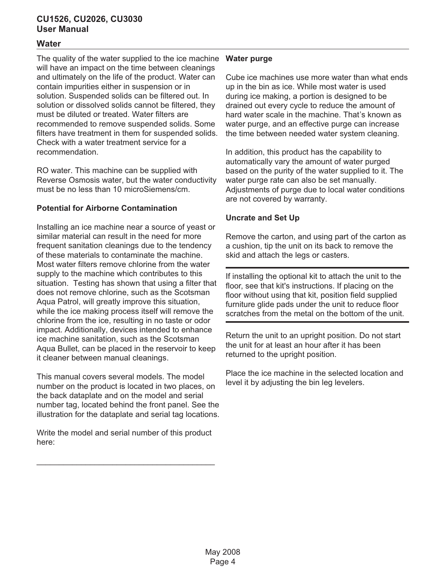### **Water**

The quality of the water supplied to the ice machine **Water purge** will have an impact on the time between cleanings and ultimately on the life of the product. Water can contain impurities either in suspension or in solution. Suspended solids can be filtered out. In solution or dissolved solids cannot be filtered, they must be diluted or treated. Water filters are recommended to remove suspended solids. Some filters have treatment in them for suspended solids. Check with a water treatment service for a recommendation.

RO water. This machine can be supplied with Reverse Osmosis water, but the water conductivity must be no less than 10 microSiemens/cm.

### **Potential for Airborne Contamination**

Installing an ice machine near a source of yeast or similar material can result in the need for more frequent sanitation cleanings due to the tendency of these materials to contaminate the machine. Most water filters remove chlorine from the water supply to the machine which contributes to this situation. Testing has shown that using a filter that does not remove chlorine, such as the Scotsman Aqua Patrol, will greatly improve this situation, while the ice making process itself will remove the chlorine from the ice, resulting in no taste or odor impact. Additionally, devices intended to enhance ice machine sanitation, such as the Scotsman Aqua Bullet, can be placed in the reservoir to keep it cleaner between manual cleanings.

This manual covers several models. The model number on the product is located in two places, on the back dataplate and on the model and serial number tag, located behind the front panel. See the illustration for the dataplate and serial tag locations.

Write the model and serial number of this product here:

\_\_\_\_\_\_\_\_\_\_\_\_\_\_\_\_\_\_\_\_\_\_\_\_\_\_\_\_\_\_\_\_\_\_\_\_\_\_\_\_

Cube ice machines use more water than what ends up in the bin as ice. While most water is used during ice making, a portion is designed to be drained out every cycle to reduce the amount of hard water scale in the machine. That's known as water purge, and an effective purge can increase the time between needed water system cleaning.

In addition, this product has the capability to automatically vary the amount of water purged based on the purity of the water supplied to it. The water purge rate can also be set manually. Adjustments of purge due to local water conditions are not covered by warranty.

### **Uncrate and Set Up**

Remove the carton, and using part of the carton as a cushion, tip the unit on its back to remove the skid and attach the legs or casters.

If installing the optional kit to attach the unit to the floor, see that kit's instructions. If placing on the floor without using that kit, position field supplied furniture glide pads under the unit to reduce floor scratches from the metal on the bottom of the unit.

Return the unit to an upright position. Do not start the unit for at least an hour after it has been returned to the upright position.

Place the ice machine in the selected location and level it by adjusting the bin leg levelers.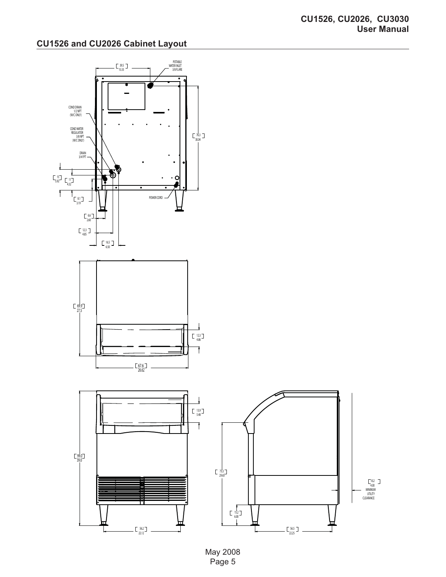### **CU1526 and CU2026 Cabinet Layout**



May 2008 Page 5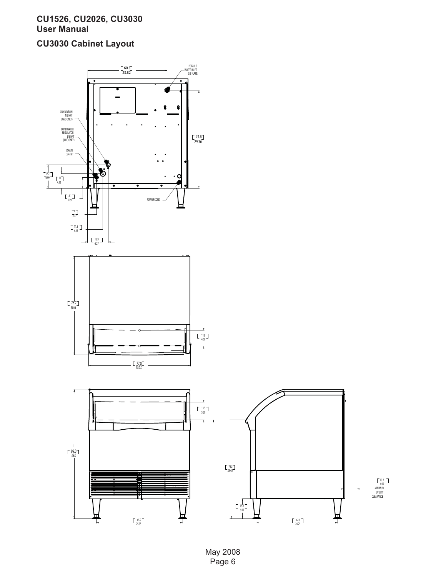## **CU3030 Cabinet Layout**

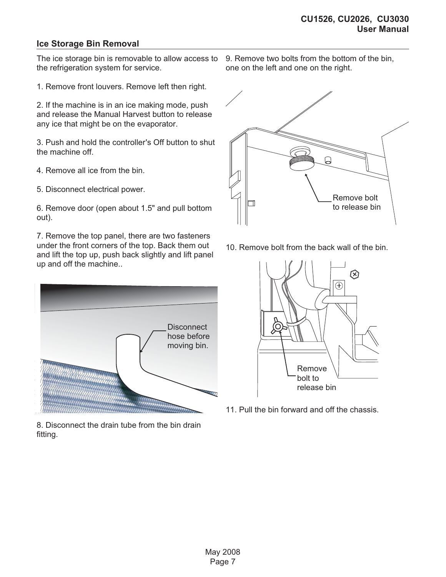### **Ice Storage Bin Removal**

The ice storage bin is removable to allow access to 9. Remove two bolts from the bottom of the bin, the refrigeration system for service.

1. Remove front louvers. Remove left then right.

2. If the machine is in an ice making mode, push and release the Manual Harvest button to release any ice that might be on the evaporator.

3. Push and hold the controller's Off button to shut the machine off.

- 4. Remove all ice from the bin.
- 5. Disconnect electrical power.

6. Remove door (open about 1.5" and pull bottom out).

7. Remove the top panel, there are two fasteners under the front corners of the top. Back them out and lift the top up, push back slightly and lift panel up and off the machine..



8. Disconnect the drain tube from the bin drain fitting.

one on the left and one on the right.



10. Remove bolt from the back wall of the bin.



11. Pull the bin forward and off the chassis.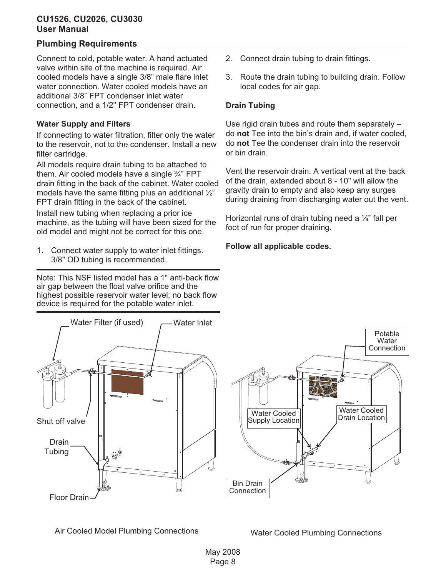### **Plumbing Requirements**

Connect to cold, potable water. A hand actuated valve within site of the machine is required. Air cooled models have a single 3/8" male flare inlet water connection. Water cooled models have an additional 3/8" FPT condenser inlet water connection, and a 1/2" FPT condenser drain.

### **Water Supply and Filters**

If connecting to water filtration, filter only the water to the reservoir, not to the condenser. Install a new filter cartridge.

All models require drain tubing to be attached to them. Air cooled models have a single ¾" FPT drain fitting in the back of the cabinet. Water cooled models have the same fitting plus an additional  $\frac{1}{2}$ " FPT drain fitting in the back of the cabinet.

Install new tubing when replacing a prior ice machine, as the tubing will have been sized for the old model and might not be correct for this one.

1. Connect water supply to water inlet fittings. 3/8" OD tubing is recommended.

Note: This NSF listed model has a 1" anti-back flow air gap between the float valve orifice and the highest possible reservoir water level; no back flow device is required for the potable water inlet.

- 2. Connect drain tubing to drain fittings.
- 3. Route the drain tubing to building drain. Follow local codes for air gap.

### **Drain Tubing**

Use rigid drain tubes and route them separately – do **not** Tee into the bin's drain and, if water cooled, do **not** Tee the condenser drain into the reservoir or bin drain.

Vent the reservoir drain. A vertical vent at the back of the drain, extended about 8 - 10" will allow the gravity drain to empty and also keep any surges during draining from discharging water out the vent.

Horizontal runs of drain tubing need a ¼" fall per foot of run for proper draining.

### **Follow all applicable codes.**



Air Cooled Model Plumbing Connections Water Cooled Plumbing Connections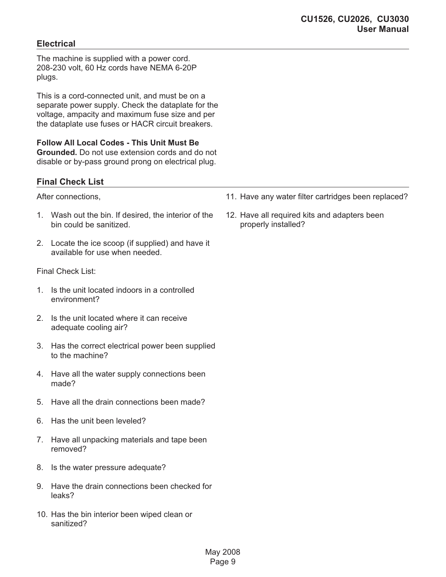### **Electrical**

The machine is supplied with a power cord. 208-230 volt, 60 Hz cords have NEMA 6-20P plugs.

This is a cord-connected unit, and must be on a separate power supply. Check the dataplate for the voltage, ampacity and maximum fuse size and per the dataplate use fuses or HACR circuit breakers.

#### **Follow All Local Codes - This Unit Must Be**

**Grounded.** Do not use extension cords and do not disable or by-pass ground prong on electrical plug.

### **Final Check List**

After connections,

- 1. Wash out the bin. If desired, the interior of the bin could be sanitized.
- 2. Locate the ice scoop (if supplied) and have it available for use when needed.

Final Check List:

- 1. Is the unit located indoors in a controlled environment?
- 2. Is the unit located where it can receive adequate cooling air?
- 3. Has the correct electrical power been supplied to the machine?
- 4. Have all the water supply connections been made?
- 5. Have all the drain connections been made?
- 6. Has the unit been leveled?
- 7. Have all unpacking materials and tape been removed?
- 8. Is the water pressure adequate?
- 9. Have the drain connections been checked for leaks?
- 10. Has the bin interior been wiped clean or sanitized?
- 11. Have any water filter cartridges been replaced?
- 12. Have all required kits and adapters been properly installed?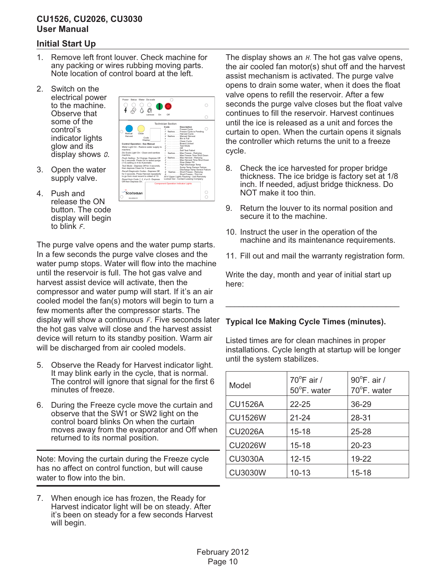### **Initial Start Up**

- 1. Remove left front louver. Check machine for any packing or wires rubbing moving parts. Note location of control board at the left.
- 2. Switch on the electrical power to the machine. Observe that some of the control's indicator lights glow and its display shows *O*.
- 3. Open the water supply valve.
- 4. Push and release the ON button. The code display will begin to blink *F*.



The purge valve opens and the water pump starts. In a few seconds the purge valve closes and the water pump stops. Water will flow into the machine until the reservoir is full. The hot gas valve and harvest assist device will activate, then the compressor and water pump will start. If it's an air cooled model the fan(s) motors will begin to turn a few moments after the compressor starts. The display will show a continuous *F*. Five seconds later the hot gas valve will close and the harvest assist device will return to its standby position. Warm air will be discharged from air cooled models.

- 5. Observe the Ready for Harvest indicator light. It may blink early in the cycle, that is normal. The control will ignore that signal for the first 6 minutes of freeze.
- 6. During the Freeze cycle move the curtain and observe that the SW1 or SW2 light on the control board blinks On when the curtain moves away from the evaporator and Off when returned to its normal position.

Note: Moving the curtain during the Freeze cycle has no affect on control function, but will cause water to flow into the bin.

7. When enough ice has frozen, the Ready for Harvest indicator light will be on steady. After it's been on steady for a few seconds Harvest will begin.

The display shows an *H.* The hot gas valve opens, the air cooled fan motor(s) shut off and the harvest assist mechanism is activated. The purge valve opens to drain some water, when it does the float valve opens to refill the reservoir. After a few seconds the purge valve closes but the float valve continues to fill the reservoir. Harvest continues until the ice is released as a unit and forces the curtain to open. When the curtain opens it signals the controller which returns the unit to a freeze cycle.

- 8. Check the ice harvested for proper bridge thickness. The ice bridge is factory set at 1/8 inch. If needed, adjust bridge thickness. Do NOT make it too thin.
- 9. Return the louver to its normal position and secure it to the machine.
- 10. Instruct the user in the operation of the machine and its maintenance requirements.
- 11. Fill out and mail the warranty registration form.

Write the day, month and year of initial start up here:

\_\_\_\_\_\_\_\_\_\_\_\_\_\_\_\_\_\_\_\_\_\_\_\_\_\_\_\_\_\_\_\_\_\_\_\_\_\_\_

### **Typical Ice Making Cycle Times (minutes).**

Listed times are for clean machines in proper installations. Cycle length at startup will be longer until the system stabilizes.

| Model          | $70^{\circ}$ F air /<br>50°F. water | $90^{\circ}$ F. air /<br>70°F. water |
|----------------|-------------------------------------|--------------------------------------|
| <b>CU1526A</b> | 22-25                               | 36-29                                |
| <b>CU1526W</b> | $21 - 24$                           | 28-31                                |
| <b>CU2026A</b> | $15 - 18$                           | $25 - 28$                            |
| <b>CU2026W</b> | $15 - 18$                           | $20 - 23$                            |
| <b>CU3030A</b> | $12 - 15$                           | 19-22                                |
| <b>CU3030W</b> | $10 - 13$                           | $15 - 18$                            |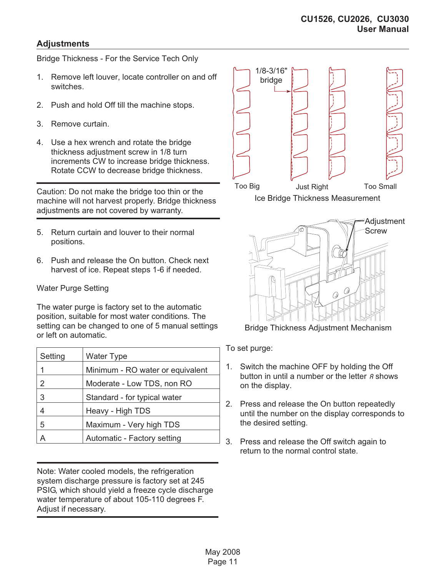### **Adjustments**

Bridge Thickness - For the Service Tech Only

- 1. Remove left louver, locate controller on and off switches.
- 2. Push and hold Off till the machine stops.
- 3. Remove curtain.
- 4. Use a hex wrench and rotate the bridge thickness adjustment screw in 1/8 turn increments CW to increase bridge thickness. Rotate CCW to decrease bridge thickness.

Caution: Do not make the bridge too thin or the machine will not harvest properly. Bridge thickness adjustments are not covered by warranty.

- 5. Return curtain and louver to their normal positions.
- 6. Push and release the On button. Check next harvest of ice. Repeat steps 1-6 if needed.

### Water Purge Setting

The water purge is factory set to the automatic position, suitable for most water conditions. The setting can be changed to one of 5 manual settings or left on automatic.

| Setting | <b>Water Type</b>                |
|---------|----------------------------------|
| 1       | Minimum - RO water or equivalent |
| 2       | Moderate - Low TDS, non RO       |
| 3       | Standard - for typical water     |
| 4       | Heavy - High TDS                 |
| 5       | Maximum - Very high TDS          |
| А       | Automatic - Factory setting      |

Note: Water cooled models, the refrigeration system discharge pressure is factory set at 245 PSIG, which should yield a freeze cycle discharge water temperature of about 105-110 degrees F. Adjust if necessary.



Ice Bridge Thickness Measurement



Bridge Thickness Adjustment Mechanism

To set purge:

- 1. Switch the machine OFF by holding the Off button in until a number or the letter *A* shows on the display.
- 2. Press and release the On button repeatedly until the number on the display corresponds to the desired setting.
- 3. Press and release the Off switch again to return to the normal control state.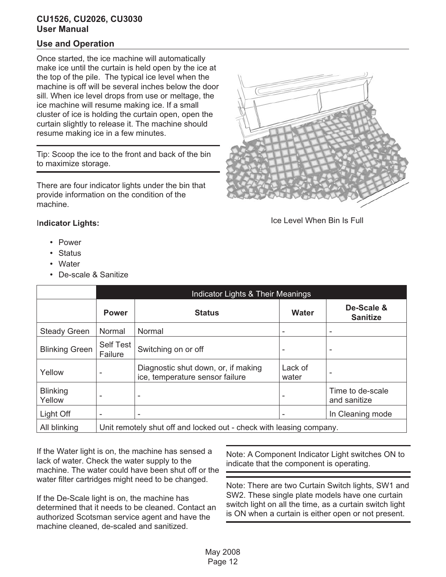### **Use and Operation**

Once started, the ice machine will automatically make ice until the curtain is held open by the ice at the top of the pile. The typical ice level when the machine is off will be several inches below the door sill. When ice level drops from use or meltage, the ice machine will resume making ice. If a small cluster of ice is holding the curtain open, open the curtain slightly to release it. The machine should resume making ice in a few minutes.

Tip: Scoop the ice to the front and back of the bin to maximize storage.

There are four indicator lights under the bin that provide information on the condition of the machine.



Ice Level When Bin Is Full

#### I**ndicator Lights:**

- Power
- Status
- Water
- De-scale & Sanitize

|                           | Indicator Lights & Their Meanings                                   |                                                                        |                  |                                  |
|---------------------------|---------------------------------------------------------------------|------------------------------------------------------------------------|------------------|----------------------------------|
|                           | <b>Power</b>                                                        | <b>Status</b>                                                          | Water            | De-Scale &<br><b>Sanitize</b>    |
| <b>Steady Green</b>       | Normal                                                              | Normal                                                                 |                  | $\overline{\phantom{0}}$         |
| <b>Blinking Green</b>     | Self Test<br>Failure                                                | Switching on or off                                                    |                  | ۰                                |
| Yellow                    |                                                                     | Diagnostic shut down, or, if making<br>ice, temperature sensor failure | Lack of<br>water | $\overline{\phantom{0}}$         |
| <b>Blinking</b><br>Yellow |                                                                     | $\overline{\phantom{0}}$                                               |                  | Time to de-scale<br>and sanitize |
| Light Off                 |                                                                     |                                                                        |                  | In Cleaning mode                 |
| All blinking              | Unit remotely shut off and locked out - check with leasing company. |                                                                        |                  |                                  |

If the Water light is on, the machine has sensed a lack of water. Check the water supply to the machine. The water could have been shut off or the water filter cartridges might need to be changed.

If the De-Scale light is on, the machine has determined that it needs to be cleaned. Contact an authorized Scotsman service agent and have the machine cleaned, de-scaled and sanitized.

Note: A Component Indicator Light switches ON to indicate that the component is operating.

Note: There are two Curtain Switch lights, SW1 and SW2. These single plate models have one curtain switch light on all the time, as a curtain switch light is ON when a curtain is either open or not present.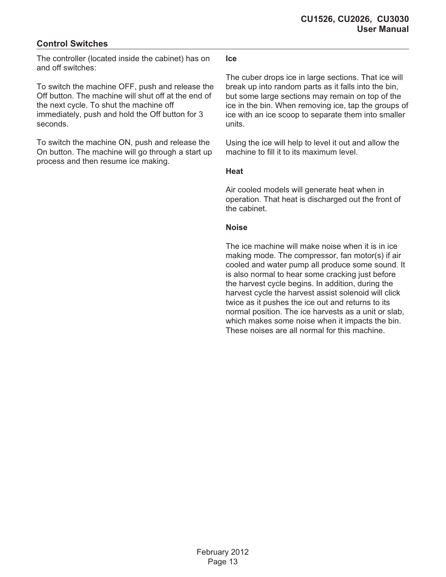### **Control Switches**

The controller (located inside the cabinet) has on and off switches:

To switch the machine OFF, push and release the Off button. The machine will shut off at the end of the next cycle. To shut the machine off immediately, push and hold the Off button for 3 seconds.

To switch the machine ON, push and release the On button. The machine will go through a start up process and then resume ice making.

#### **Ice**

The cuber drops ice in large sections. That ice will break up into random parts as it falls into the bin, but some large sections may remain on top of the ice in the bin. When removing ice, tap the groups of ice with an ice scoop to separate them into smaller units.

Using the ice will help to level it out and allow the machine to fill it to its maximum level.

#### **Heat**

Air cooled models will generate heat when in operation. That heat is discharged out the front of the cabinet.

#### **Noise**

The ice machine will make noise when it is in ice making mode. The compressor, fan motor(s) if air cooled and water pump all produce some sound. It is also normal to hear some cracking just before the harvest cycle begins. In addition, during the harvest cycle the harvest assist solenoid will click twice as it pushes the ice out and returns to its normal position. The ice harvests as a unit or slab, which makes some noise when it impacts the bin. These noises are all normal for this machine.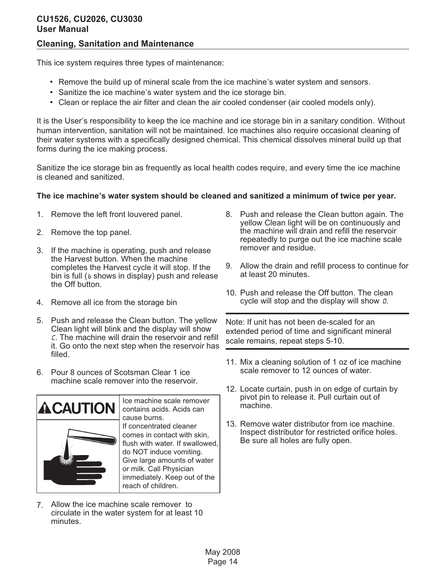### **Cleaning, Sanitation and Maintenance**

This ice system requires three types of maintenance:

- Remove the build up of mineral scale from the ice machine's water system and sensors. •
- Sanitize the ice machine's water system and the ice storage bin. •
- Clean or replace the air filter and clean the air cooled condenser (air cooled models only).

It is the User's responsibility to keep the ice machine and ice storage bin in a sanitary condition. Without human intervention, sanitation will not be maintained. Ice machines also require occasional cleaning of their water systems with a specifically designed chemical. This chemical dissolves mineral build up that forms during the ice making process.

Sanitize the ice storage bin as frequently as local health codes require, and every time the ice machine is cleaned and sanitized.

#### **The ice machine's water system should be cleaned and sanitized a minimum of twice per year.**

- 1. Remove the left front louvered panel.
- 2. Remove the top panel.
- 3. If the machine is operating, push and release the Harvest button. When the machine completes the Harvest cycle it will stop. If the bin is full (*b* shows in display) push and release the Off button.
- 4. Remove all ice from the storage bin
- 5. Push and release the Clean button. The yellow Clean light will blink and the display will show *C*. The machine will drain the reservoir and refill it. Go onto the next step when the reservoir has filled.
- 6. Pour 8 ounces of Scotsman Clear 1 ice machine scale remover into the reservoir.



Ice machine scale remover contains acids. Acids can cause burns. If concentrated cleaner comes in contact with skin, flush with water. If swallowed, do NOT induce vomiting. Give large amounts of water or milk. Call Physician immediately. Keep out of the reach of children.

7. Allow the ice machine scale remover to circulate in the water system for at least 10 minutes.

- 8. Push and release the Clean button again. The yellow Clean light will be on continuously and the machine will drain and refill the reservoir repeatedly to purge out the ice machine scale remover and residue.
- 9. Allow the drain and refill process to continue for at least 20 minutes.
- 10. Push and release the Off button. The clean cycle will stop and the display will show *O*.

Note: If unit has not been de-scaled for an extended period of time and significant mineral scale remains, repeat steps 5-10.

- 11. Mix a cleaning solution of 1 oz of ice machine scale remover to 12 ounces of water
- 12. Locate curtain, push in on edge of curtain by pivot pin to release it. Pull curtain out of machine.
- 13. Remove water distributor from ice machine. Inspect distributor for restricted orifice holes. Be sure all holes are fully open.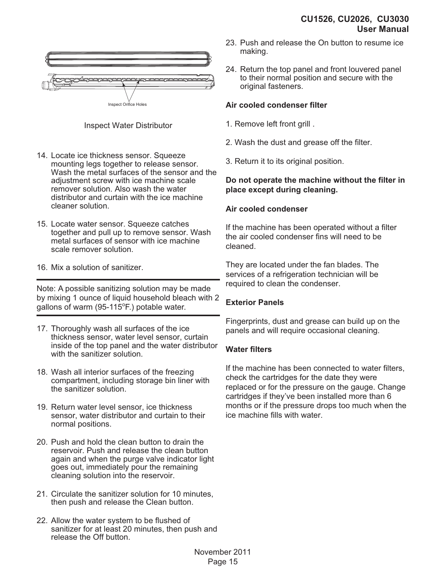

Inspect Water Distributor

- 14. Locate ice thickness sensor. Squeeze mounting legs together to release sensor. Wash the metal surfaces of the sensor and the adiustment screw with ice machine scale remover solution. Also wash the water distributor and curtain with the ice machine cleaner solution.
- 15. Locate water sensor. Squeeze catches together and pull up to remove sensor. Wash metal surfaces of sensor with ice machine scale remover solution.
- 16. Mix a solution of sanitizer.

Note: A possible sanitizing solution may be made by mixing 1 ounce of liquid household bleach with 2 gallons of warm (95-115°F.) potable water.

- 17. Thoroughly wash all surfaces of the ice thickness sensor, water level sensor, curtain inside of the top panel and the water distributor with the sanitizer solution.
- 18. Wash all interior surfaces of the freezing compartment, including storage bin liner with the sanitizer solution.
- 19. Return water level sensor, ice thickness sensor, water distributor and curtain to their normal positions.
- 20. Push and hold the clean button to drain the reservoir. Push and release the clean button again and when the purge valve indicator light goes out, immediately pour the remaining cleaning solution into the reservoir.
- 21. Circulate the sanitizer solution for 10 minutes, then push and release the Clean button.
- 22. Allow the water system to be flushed of sanitizer for at least 20 minutes, then push and release the Off button.

23. Push and release the On button to resume ice making.

**CU1526, CU2026, CU3030**

**User Manual**

24. Return the top panel and front louvered panel to their normal position and secure with the original fasteners.

#### **Air cooled condenser filter**

- 1. Remove left front grill .
- 2. Wash the dust and grease off the filter.
- 3. Return it to its original position.

#### **Do not operate the machine without the filter in place except during cleaning.**

#### **Air cooled condenser**

If the machine has been operated without a filter the air cooled condenser fins will need to be cleaned.

They are located under the fan blades. The services of a refrigeration technician will be required to clean the condenser.

#### **Exterior Panels**

Fingerprints, dust and grease can build up on the panels and will require occasional cleaning.

#### **Water filters**

If the machine has been connected to water filters, check the cartridges for the date they were replaced or for the pressure on the gauge. Change cartridges if they've been installed more than 6 months or if the pressure drops too much when the ice machine fills with water.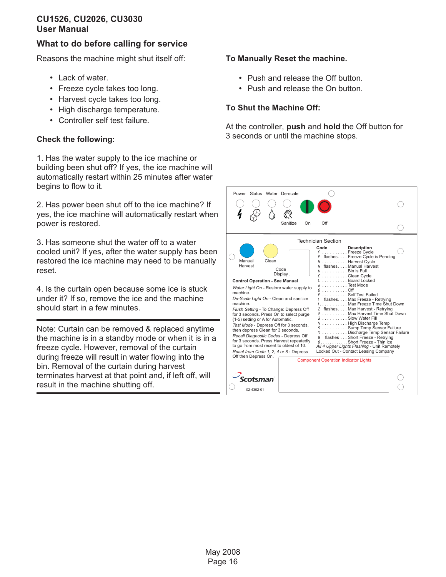### **What to do before calling for service**

Reasons the machine might shut itself off:

- Lack of water.
- Freeze cycle takes too long.
- Harvest cycle takes too long.
- High discharge temperature.
- Controller self test failure.

#### **Check the following:**

1. Has the water supply to the ice machine or building been shut off? If yes, the ice machine will automatically restart within 25 minutes after water begins to flow to it.

2. Has power been shut off to the ice machine? If yes, the ice machine will automatically restart when power is restored.

3. Has someone shut the water off to a water cooled unit? If yes, after the water supply has been restored the ice machine may need to be manually reset.

4. Is the curtain open because some ice is stuck under it? If so, remove the ice and the machine should start in a few minutes.

Note: Curtain can be removed & replaced anytime the machine is in a standby mode or when it is in a freeze cycle. However, removal of the curtain during freeze will result in water flowing into the bin. Removal of the curtain during harvest terminates harvest at that point and, if left off, will result in the machine shutting off.

#### **To Manually Reset the machine.**

- Push and release the Off button.
- Push and release the On button.

#### **To Shut the Machine Off:**

At the controller, **push** and **hold** the Off button for 3 seconds or until the machine stops.

| Power Status Water De-scale<br>Sanitize<br>On<br>Off                                                                                                                                                                                                                                                                                                                                                                                                                                                                                                                                                                                                                                                                                                                                                                                                                                                                                                                                                                                                                                                                                                                                                                                                                                                                                                       |  |
|------------------------------------------------------------------------------------------------------------------------------------------------------------------------------------------------------------------------------------------------------------------------------------------------------------------------------------------------------------------------------------------------------------------------------------------------------------------------------------------------------------------------------------------------------------------------------------------------------------------------------------------------------------------------------------------------------------------------------------------------------------------------------------------------------------------------------------------------------------------------------------------------------------------------------------------------------------------------------------------------------------------------------------------------------------------------------------------------------------------------------------------------------------------------------------------------------------------------------------------------------------------------------------------------------------------------------------------------------------|--|
|                                                                                                                                                                                                                                                                                                                                                                                                                                                                                                                                                                                                                                                                                                                                                                                                                                                                                                                                                                                                                                                                                                                                                                                                                                                                                                                                                            |  |
| <b>Technician Section</b>                                                                                                                                                                                                                                                                                                                                                                                                                                                                                                                                                                                                                                                                                                                                                                                                                                                                                                                                                                                                                                                                                                                                                                                                                                                                                                                                  |  |
| Code<br><b>Description</b><br>F Freeze Cycle<br>$F$ flashes Freeze Cycle is Pending<br>Manual<br>Clean<br><i>н</i> …… …… Harvest Cycle<br>Harvest<br>H flashes Manual Harvest<br>Code<br>$b$ Bin is Full<br>Display<br>$E$ Clean Cycle<br>LBoard Locked<br><b>Control Operation - See Manual</b><br>d Test Mode<br>Water Light On - Restore water supply to<br>0Off<br>machine.<br><b>Contact Self Test Failed</b><br>F<br>De-Scale Light On - Clean and sanitize<br>flashes. Max Freeze - Retrying<br>machine.<br>1Max Freeze Time Shut Down<br>2 flashes Max Harvest - Retrying<br>Flush Setting - To Change: Depress Off<br>2   Max Harvest Time Shut Down<br>for 3 seconds. Press On to select purge<br>3 Slow Water Fill<br>(1-5) setting or A for Automatic.<br>4   High Discharge Temp<br>Test Mode - Depress Off for 3 seconds,<br>5   Sump Temp Sensor Failure<br>then depress Clean for 3 seconds.<br>Discharge Temp Sensor Failure<br>Recall Diagnostic Codes - Depress Off<br>flashes Short Freeze - Retrying<br>8<br>for 3 seconds. Press Harvest repeatedly<br>8. Short Freeze - Thin ice<br>to go from most recent to oldest of 10.<br>All 4 Upper Lights Flashing - Unit Remotely<br>Locked Out - Contact Leasing Company<br>Reset from Code 1, 2, 4 or 8 - Depress<br>Off then Depress On.<br><b>Component Operation Indicator Lights</b> |  |
| Scotsman                                                                                                                                                                                                                                                                                                                                                                                                                                                                                                                                                                                                                                                                                                                                                                                                                                                                                                                                                                                                                                                                                                                                                                                                                                                                                                                                                   |  |
| 02-4302-01                                                                                                                                                                                                                                                                                                                                                                                                                                                                                                                                                                                                                                                                                                                                                                                                                                                                                                                                                                                                                                                                                                                                                                                                                                                                                                                                                 |  |